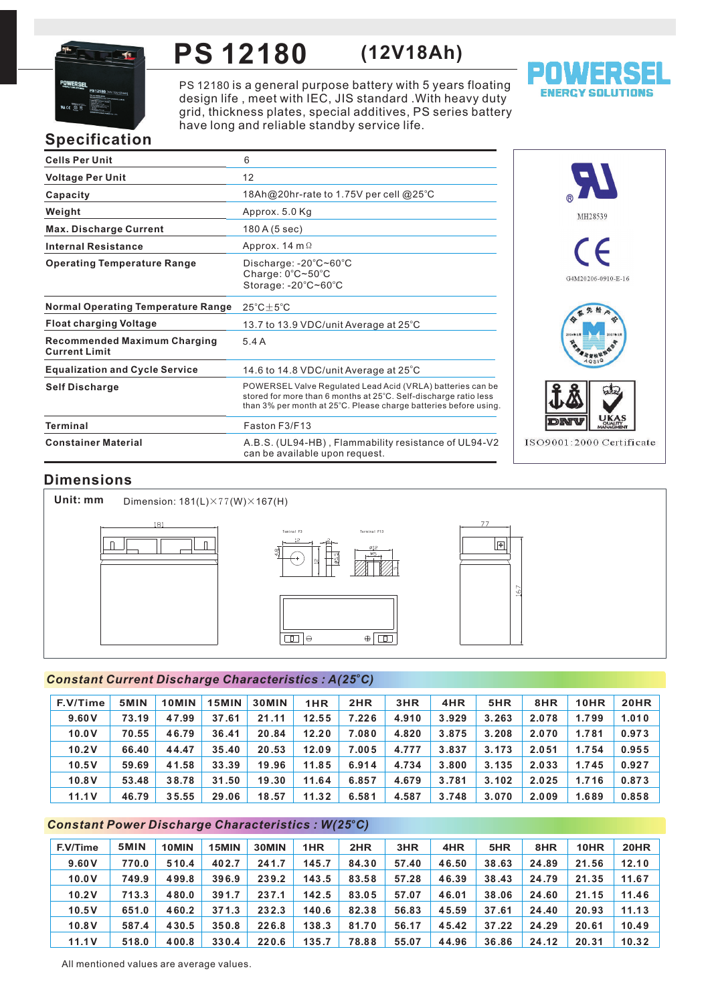

## **PS 12180 (12V18Ah)**

PS 12180 is a general purpose battery with 5 years floating design life, meet with IEC, JIS standard . With heavy duty grid, thickness plates, special additives, PS series battery have long and reliable standby service life.



# **Specification**

| <b>Cells Per Unit</b>                                       | 6                                                                                                                                                                                                  |
|-------------------------------------------------------------|----------------------------------------------------------------------------------------------------------------------------------------------------------------------------------------------------|
| <b>Voltage Per Unit</b>                                     | 12                                                                                                                                                                                                 |
| Capacity                                                    | 18Ah@20hr-rate to 1.75V per cell @25°C                                                                                                                                                             |
| Weight                                                      | Approx. 5.0 Kg                                                                                                                                                                                     |
| <b>Max. Discharge Current</b>                               | 180 A (5 sec)                                                                                                                                                                                      |
| <b>Internal Resistance</b>                                  | Approx. 14 m $\Omega$                                                                                                                                                                              |
| <b>Operating Temperature Range</b>                          | Discharge: $-20^{\circ}$ C $\sim$ 60 $^{\circ}$ C<br>Charge: 0°C~50°C<br>Storage: -20°C~60°C                                                                                                       |
| <b>Normal Operating Temperature Range</b>                   | $25^{\circ}$ C + $5^{\circ}$ C                                                                                                                                                                     |
| <b>Float charging Voltage</b>                               | 13.7 to 13.9 VDC/unit Average at 25°C                                                                                                                                                              |
| <b>Recommended Maximum Charging</b><br><b>Current Limit</b> | 5.4A                                                                                                                                                                                               |
| <b>Equalization and Cycle Service</b>                       | 14.6 to 14.8 VDC/unit Average at $25^{\circ}$ C                                                                                                                                                    |
| <b>Self Discharge</b>                                       | POWERSEL Valve Regulated Lead Acid (VRLA) batteries can be<br>stored for more than 6 months at 25°C. Self-discharge ratio less<br>than 3% per month at 25°C. Please charge batteries before using. |
| Terminal                                                    | Faston F3/F13                                                                                                                                                                                      |
| <b>Constainer Material</b>                                  | A.B.S. (UL94-HB), Flammability resistance of UL94-V2<br>can be available upon request.                                                                                                             |



## **Dimensions**

**Unit: mm**

Dimension: 181(L)×77(W)×167(H)



#### *<sup>o</sup> Constant Current Discharge Characteristics : A(25 C)*

| F.V/Time | 5MIN  | 10MIN | 15MIN | <b>30MIN</b> | 1HR   | 2HR   | 3HR   | 4HR   | 5HR   | 8HR   | 10HR  | <b>20HR</b> |
|----------|-------|-------|-------|--------------|-------|-------|-------|-------|-------|-------|-------|-------------|
| 9.60V    | 73.19 | 47.99 | 37.61 | 21.11        | 12.55 | 7.226 | 4.910 | 3.929 | 3.263 | 2.078 | 1.799 | 1.010       |
| 10.0V    | 70.55 | 46.79 | 36.41 | 20.84        | 12.20 | 7.080 | 4.820 | 3.875 | 3.208 | 2.070 | 1.781 | 0.973       |
| 10.2V    | 66.40 | 44.47 | 35.40 | 20.53        | 12.09 | 7.005 | 4.777 | 3.837 | 3.173 | 2.051 | 1.754 | 0.955       |
| 10.5V    | 59.69 | 41.58 | 33.39 | 19.96        | 11.85 | 6.914 | 4.734 | 3.800 | 3.135 | 2.033 | 1.745 | 0.927       |
| 10.8V    | 53.48 | 38.78 | 31.50 | 19.30        | 11.64 | 6.857 | 4.679 | 3.781 | 3.102 | 2.025 | 1.716 | 0.873       |
| 11.1V    | 46.79 | 35.55 | 29.06 | 18.57        | 11.32 | 6.581 | 4.587 | 3.748 | 3.070 | 2.009 | 1.689 | 0.858       |

#### *<sup>o</sup> Constant Power Discharge Characteristics : W(25 C)*

| F.V/Time | 5MIN  | 10MIN | 15MIN | 30MIN | 1HR   | 2HR   | 3HR   | 4HR   | 5HR   | 8HR   | 10HR  | 20HR  |
|----------|-------|-------|-------|-------|-------|-------|-------|-------|-------|-------|-------|-------|
| 9.60V    | 770.0 | 510.4 | 402.7 | 241.7 | 145.7 | 84.30 | 57.40 | 46.50 | 38.63 | 24.89 | 21.56 | 12.10 |
| 10.0V    | 749.9 | 499.8 | 396.9 | 239.2 | 143.5 | 83.58 | 57.28 | 46.39 | 38.43 | 24.79 | 21.35 | 11.67 |
| 10.2V    | 713.3 | 480.0 | 391.7 | 237.1 | 142.5 | 83.05 | 57.07 | 46.01 | 38.06 | 24.60 | 21.15 | 11.46 |
| 10.5V    | 651.0 | 460.2 | 371.3 | 232.3 | 140.6 | 82.38 | 56.83 | 45.59 | 37.61 | 24.40 | 20.93 | 11.13 |
| 10.8V    | 587.4 | 430.5 | 350.8 | 226.8 | 138.3 | 81.70 | 56.17 | 45.42 | 37.22 | 24.29 | 20.61 | 10.49 |
| 11.1V    | 518.0 | 400.8 | 330.4 | 220.6 | 135.7 | 78.88 | 55.07 | 44.96 | 36.86 | 24.12 | 20.31 | 10.32 |

All mentioned values are average values.